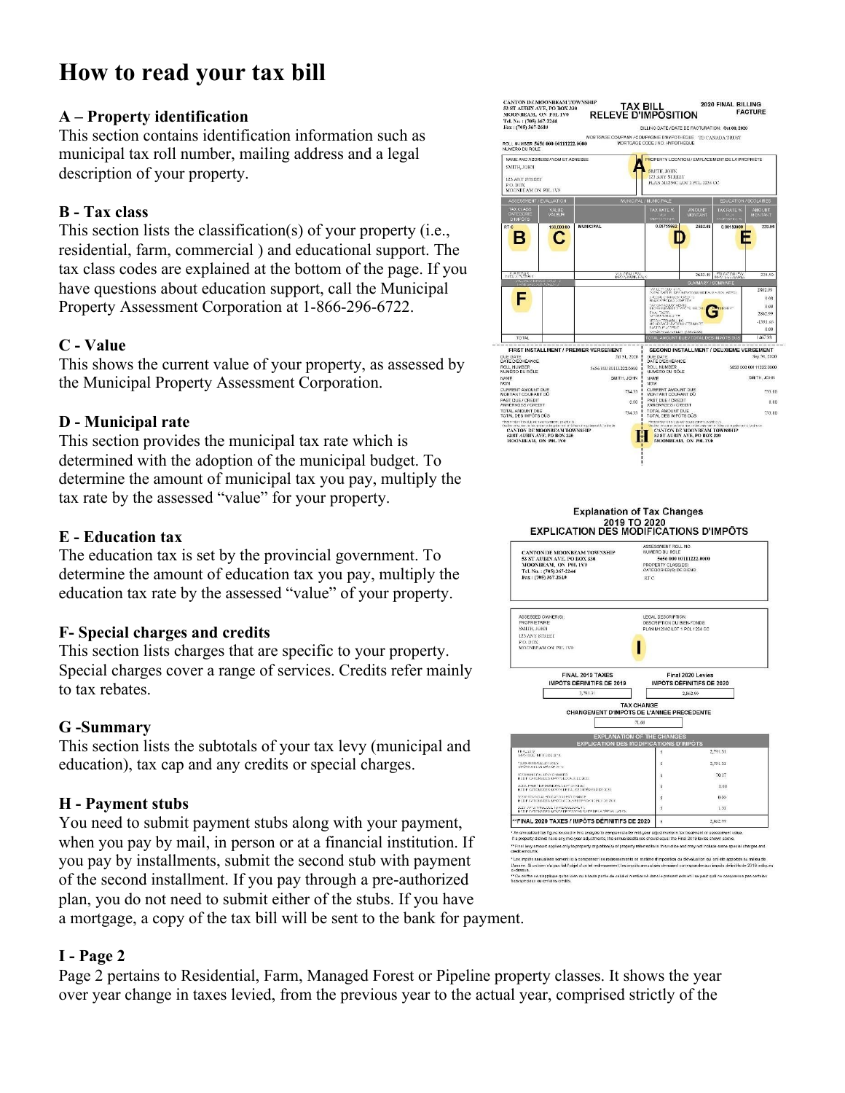# **How to read your tax bill**

#### **A – Property identification**

This section contains identification information such as municipal tax roll number, mailing address and a legal description of your property.

## **B - Tax class**

This section lists the classification(s) of your property (i.e., residential, farm, commercial ) and educational support. The tax class codes are explained at the bottom of the page. If you have questions about education support, call the Municipal Property Assessment Corporation at 1-866-296-6722.

#### **C - Value**

This shows the current value of your property, as assessed by the Municipal Property Assessment Corporation.

## **D - Municipal rate**

This section provides the municipal tax rate which is determined with the adoption of the municipal budget. To determine the amount of municipal tax you pay, multiply the tax rate by the assessed "value" for your property.

#### **E - Education tax**

The education tax is set by the provincial government. To determine the amount of education tax you pay, multiply the education tax rate by the assessed "value" of your property.

#### **F- Special charges and credits**

This section lists charges that are specific to your property. Special charges cover a range of services. Credits refer mainly to tax rebates

#### **G -Summary**

This section lists the subtotals of your tax levy (municipal and education), tax cap and any credits or special charges.

# **H - Payment stubs**

You need to submit payment stubs along with your payment, when you pay by mail, in person or at a financial institution. If you pay by installments, submit the second stub with payment of the second installment. If you pay through a pre-authorized plan, you do not need to submit either of the stubs. If you have a mortgage, a copy of the tax bill will be sent to the bank for payment.

# **I - Page 2**

Page 2 pertains to Residential, Farm, Managed Forest or Pipeline property classes. It shows the year over year change in taxes levied, from the previous year to the actual year, comprised strictly of the



2019 TO 2020<br>EXPLICATION DES MODIFICATIONS D'IMPÔTS